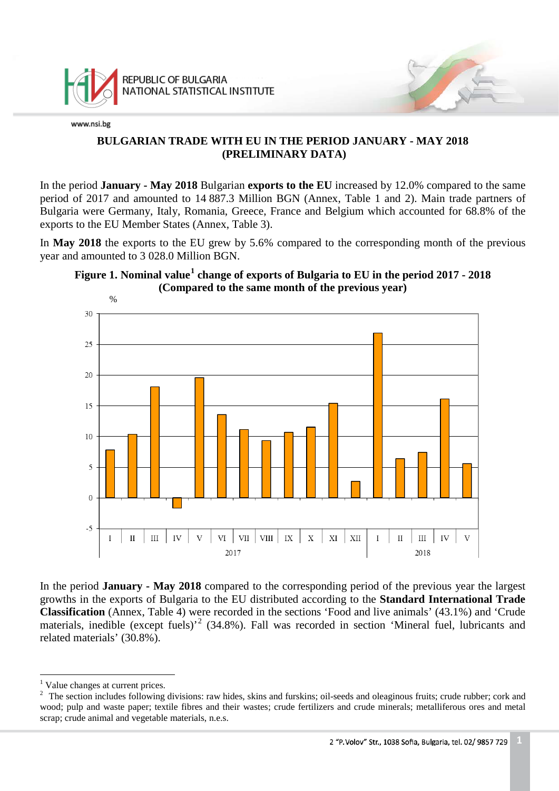

# **BULGARIAN TRADE WITH EU IN THE PERIOD JANUARY - MAY 2018 (PRELIMINARY DATA)**

In the period **January - May 2018** Bulgarian **exports to the EU** increased by 12.0% compared to the same period of 2017 and amounted to 14 887.3 Million BGN (Annex, Table 1 and 2). Main trade partners of Bulgaria were Germany, Italy, Romania, Greece, France and Belgium which accounted for 68.8% of the exports to the EU Member States (Annex, Table 3).

In **May 2018** the exports to the EU grew by 5.6% compared to the corresponding month of the previous year and amounted to 3 028.0 Million BGN.





In the period **January - May 2018** compared to the corresponding period of the previous year the largest growths in the exports of Bulgaria to the EU distributed according to the **Standard International Trade Classification** (Annex, Table 4) were recorded in the sections 'Food and live animals' (43.1%) and 'Crude materials, inedible (except fuels)<sup>[2](#page-0-1)</sup> (34.8%). Fall was recorded in section 'Mineral fuel, lubricants and related materials' (30.8%).

<sup>&</sup>lt;sup>1</sup> Value changes at current prices.  $\frac{1}{1}$ 

<span id="page-0-1"></span><span id="page-0-0"></span><sup>&</sup>lt;sup>2</sup> The section includes following divisions: raw hides, skins and furskins; oil-seeds and oleaginous fruits; crude rubber; cork and wood; pulp and waste paper; textile fibres and their wastes; crude fertilizers and crude minerals; metalliferous ores and metal scrap; crude animal and vegetable materials, n.e.s.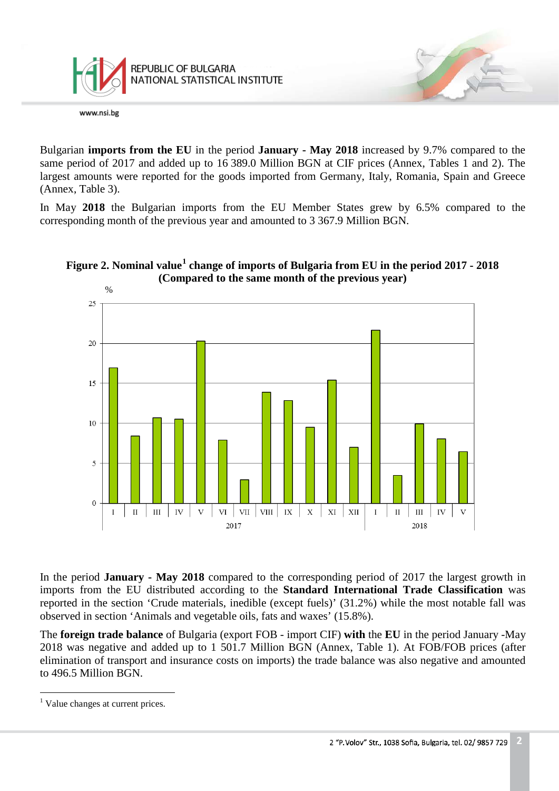

Bulgarian **imports from the EU** in the period **January - May 2018** increased by 9.7% compared to the same period of 2017 and added up to 16 389.0 Million BGN at CIF prices (Annex, Tables 1 and 2). The largest amounts were reported for the goods imported from Germany, Italy, Romania, Spain and Greece (Annex, Table 3).

In May **2018** the Bulgarian imports from the EU Member States grew by 6.5% compared to the corresponding month of the previous year and amounted to 3 367.9 Million BGN.





In the period **January - May 2018** compared to the corresponding period of 2017 the largest growth in imports from the EU distributed according to the **Standard International Trade Classification** was reported in the section 'Crude materials, inedible (except fuels)' (31.2%) while the most notable fall was observed in section 'Animals and vegetable oils, fats and waxes' (15.8%).

The **foreign trade balance** of Bulgaria (export FOB - import CIF) **with** the **EU** in the period January -May 2018 was negative and added up to 1 501.7 Million BGN (Annex, Table 1). At FOB/FOB prices (after elimination of transport and insurance costs on imports) the trade balance was also negative and amounted to 496.5 Million BGN.

<span id="page-1-0"></span><sup>&</sup>lt;sup>1</sup> Value changes at current prices.  $\frac{1}{\sqrt{2}}$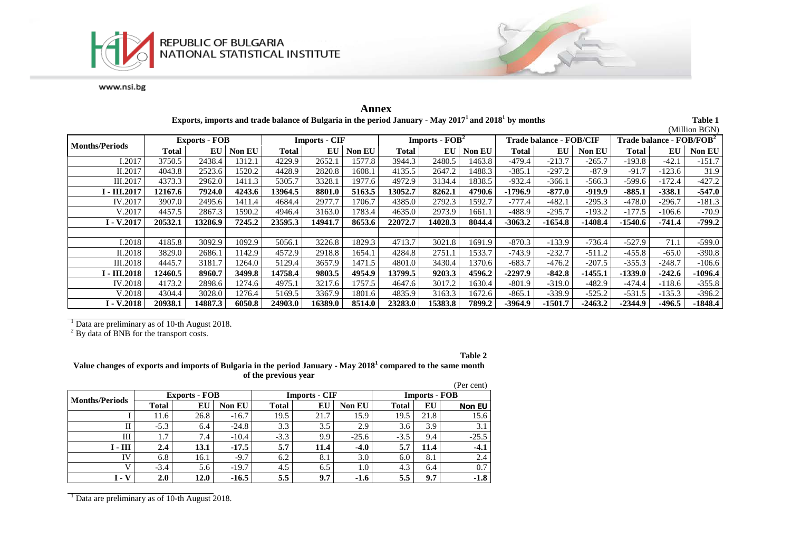



|                            |                      |         |               |                      |         |        |                                    |         |               |                                |           |               |                                      |          | (Million BGN) |
|----------------------------|----------------------|---------|---------------|----------------------|---------|--------|------------------------------------|---------|---------------|--------------------------------|-----------|---------------|--------------------------------------|----------|---------------|
| <b>Months/Periods</b>      | <b>Exports - FOB</b> |         |               | <b>Imports - CIF</b> |         |        | <b>Imports - <math>FOB2</math></b> |         |               | <b>Trade balance - FOB/CIF</b> |           |               | Trade balance - FOB/FOB <sup>2</sup> |          |               |
|                            | Total                | EU      | <b>Non EU</b> | <b>Total</b>         | EU      | Non EU | Total                              | EU      | <b>Non EU</b> | Total                          | EU        | <b>Non EU</b> | Total                                | EU       | Non EU        |
| I.2017                     | 3750.5               | 2438.4  | 1312.1        | 4229.9               | 2652.1  | 1577.8 | 3944.3                             | 2480.5  | 1463.8        | $-479.4$                       | $-213.7$  | $-265.7$      | $-193.8$                             | $-42.1$  | $-151.7$      |
| II.2017                    | 4043.8               | 2523.6  | 1520.2        | 4428.9               | 2820.8  | 1608.1 | 4135.5                             | 2647.2  | 1488.3        | $-385.1$                       | $-297.2$  | $-87.9$       | $-91.7$                              | $-123.6$ | 31.9          |
| III.2017                   | 4373.3               | 2962.0  | 1411.3        | 5305.7               | 3328.1  | 1977.6 | 4972.9                             | 3134.4  | 1838.5        | $-932.4$                       | -366.1    | $-566.3$      | $-599.6$                             | $-172.4$ | $-427.2$      |
| I - III.2017               | 12167.6              | 7924.0  | 4243.6        | 13964.5              | 8801.0  | 5163.5 | 13052.7                            | 8262.1  | 4790.6        | $-1796.9$                      | $-877.0$  | $-919.9$      | $-885.1$                             | -338.1   | $-547.0$      |
| IV.2017                    | 3907.0               | 2495.6  | 1411.4        | 4684.4               | 2977.7  | 1706.7 | 4385.0                             | 2792.3  | 1592.7        | $-777.4$                       | $-482.1$  | $-295.3$      | $-478.0$                             | -296.7   | $-181.3$      |
| V.2017                     | 4457.5               | 2867.3  | 1590.2        | 4946.4               | 3163.0  | 1783.4 | 4635.0                             | 2973.9  | 1661.1        | $-488.9$                       | $-295.7$  | $-193.2$      | $-177.5$                             | $-106.6$ | $-70.9$       |
| $I - V.2017$               | 20532.1              | 13286.9 | 7245.2        | 23595.3              | 14941.7 | 8653.6 | 22072.7                            | 14028.3 | 8044.4        | $-3063.2$                      | $-1654.8$ | $-1408.4$     | -1540.6                              | -741.4   | $-799.2$      |
|                            |                      |         |               |                      |         |        |                                    |         |               |                                |           |               |                                      |          |               |
| I.2018                     | 4185.8               | 3092.9  | 1092.9        | 5056.1               | 3226.8  | 1829.3 | 4713.7                             | 3021.8  | 1691.9        | $-870.3$                       | $-133.9$  | $-736.4$      | $-527.9$                             | 71.1     | $-599.0$      |
| II.2018                    | 3829.0               | 2686.1  | 142.9         | 4572.9               | 2918.8  | 1654.1 | 4284.8                             | 2751.1  | 1533.7        | $-743.9$                       | $-232.7$  | $-511.2$      | $-455.8$                             | $-65.0$  | $-390.8$      |
| III.2018                   | 4445.7               | 3181.7  | 1264.0        | 5129.4               | 3657.9  | 1471.5 | 4801.0                             | 3430.4  | 1370.6        | $-683.7$                       | $-476.2$  | $-207.5$      | $-355.3$                             | -248.7   | $-106.6$      |
| <b>I</b> - <b>III.2018</b> | 12460.5              | 8960.7  | 3499.8        | 14758.4              | 9803.5  | 4954.9 | 13799.5                            | 9203.3  | 4596.2        | $-2297.9$                      | $-842.8$  | $-1455.1$     | $-1339.0$                            | $-242.6$ | -1096.4       |
| IV.2018                    | 4173.2               | 2898.6  | 1274.6        | 4975.1               | 3217.6  | 1757.5 | 4647.6                             | 3017.2  | 1630.4        | $-801.9$                       | $-319.0$  | $-482.9$      | $-474.4$                             | $-118.6$ | $-355.8$      |
| V.2018                     | 4304.4               | 3028.0  | 1276.4        | 5169.5               | 3367.9  | 1801.6 | 4835.9                             | 3163.3  | 1672.6        | $-865.1$                       | $-339.9$  | $-525.2$      | $-531.5$                             | $-135.3$ | $-396.2$      |
| $I - V.2018$               | 20938.1              | 14887.3 | 6050.8        | 24903.0              | 16389.0 | 8514.0 | 23283.0                            | 15383.8 | 7899.2        | $-3964.9$                      | $-1501.7$ | $-2463.2$     | $-2344.9$                            | -496.5   | $-1848.4$     |

**Annex Exports, imports and trade balance of Bulgaria in the period January - May 20171 and 20181 by months Table 1**

 $\frac{1}{2}$  Data are preliminary as of 10-th August 2018. <sup>2</sup> By data of BNB for the transport costs.

**Table 2**

**Value changes of exports and imports of Bulgaria in the period January - May 2018<sup>1</sup> compared to the same month of the previous year**

|                       |              |                      |         |              |                      |         |                      |      | (Per cent)    |
|-----------------------|--------------|----------------------|---------|--------------|----------------------|---------|----------------------|------|---------------|
| <b>Months/Periods</b> |              | <b>Exports - FOB</b> |         |              | <b>Imports - CIF</b> |         | <b>Imports - FOB</b> |      |               |
|                       | <b>Total</b> | EU                   | Non EU  | <b>Total</b> | EU                   | Non EU  | <b>Total</b>         | EU   | <b>Non EU</b> |
|                       | 11.6         | 26.8                 | $-16.7$ | 19.5         | 21.7                 | 15.9    | 19.5                 | 21.8 | 15.6          |
| П                     | $-5.3$       | 6.4                  | $-24.8$ | 3.3          | 3.5                  | 2.9     | 3.6                  | 3.9  | 3.1           |
| Ш                     | 1.7          | 7.4                  | $-10.4$ | $-3.3$       | 9.9                  | $-25.6$ | $-3.5$               | 9.4  | $-25.5$       |
| $I - III$             | 2.4          | 13.1                 | $-17.5$ | 5.7          | 11.4                 | $-4.0$  | 5.7                  | 11.4 | $-4.1$        |
| IV                    | 6.8          | 16.1                 | $-9.7$  | 6.2          | 8.1                  | 3.0     | 6.0                  | 8.1  | 2.4           |
| V                     | $-3.4$       | 5.6                  | $-19.7$ | 4.5          | 6.5                  | 1.0     | 4.3                  | 6.4  | 0.7           |
| $I - V$               | 2.0          | 12.0                 | $-16.5$ | 5.5          | 9.7                  | $-1.6$  | 5.5                  | 9.7  | $-1.8$        |

<sup>1</sup> Data are preliminary as of 10-th August 2018.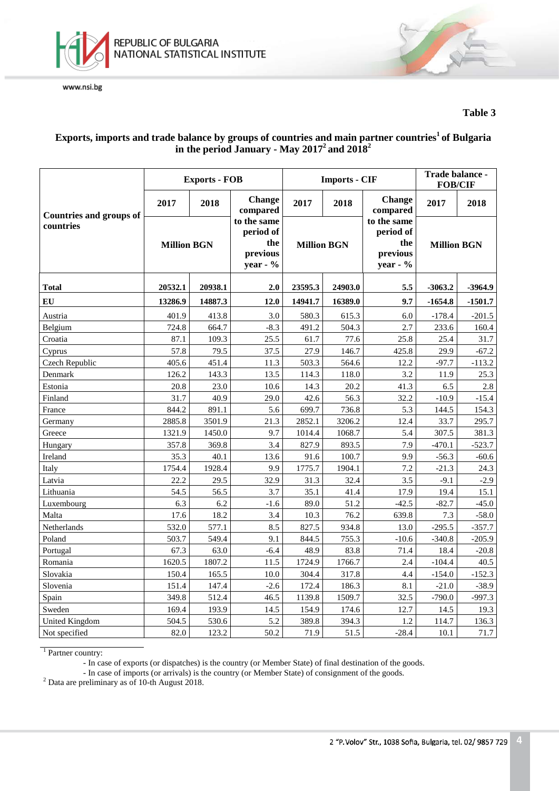

## **Table 3**

# **Exports, imports and trade balance by groups of countries and main partner countries1 of Bulgaria in the period January - May 20172 and 20182**

|                                |                    | <b>Exports - FOB</b> |                                                            |                    | <b>Imports - CIF</b> |                                                         | Trade balance -<br><b>FOB/CIF</b> |           |
|--------------------------------|--------------------|----------------------|------------------------------------------------------------|--------------------|----------------------|---------------------------------------------------------|-----------------------------------|-----------|
| <b>Countries and groups of</b> | 2017               | 2018                 | <b>Change</b><br>compared                                  | 2017               | 2018                 | <b>Change</b><br>compared                               | 2017                              | 2018      |
| countries                      | <b>Million BGN</b> |                      | to the same<br>period of<br>the<br>previous<br>year - $\%$ | <b>Million BGN</b> |                      | to the same<br>period of<br>the<br>previous<br>year - % | <b>Million BGN</b>                |           |
| <b>Total</b>                   | 20532.1            | 20938.1              | 2.0                                                        | 23595.3            | 24903.0              | 5.5                                                     | $-3063.2$                         | $-3964.9$ |
| EU                             | 13286.9            | 14887.3              | 12.0                                                       | 14941.7            | 16389.0              | 9.7                                                     | $-1654.8$                         | $-1501.7$ |
| Austria                        | 401.9              | 413.8                | 3.0                                                        | 580.3              | 615.3                | 6.0                                                     | $-178.4$                          | $-201.5$  |
| Belgium                        | 724.8              | 664.7                | $-8.3$                                                     | 491.2              | 504.3                | 2.7                                                     | 233.6                             | 160.4     |
| Croatia                        | 87.1               | 109.3                | 25.5                                                       | 61.7               | 77.6                 | 25.8                                                    | 25.4                              | 31.7      |
| Cyprus                         | 57.8               | 79.5                 | 37.5                                                       | 27.9               | 146.7                | 425.8                                                   | 29.9                              | $-67.2$   |
| Czech Republic                 | 405.6              | 451.4                | 11.3                                                       | 503.3              | 564.6                | 12.2                                                    | $-97.7$                           | $-113.2$  |
| Denmark                        | 126.2              | 143.3                | 13.5                                                       | 114.3              | 118.0                | 3.2                                                     | 11.9                              | 25.3      |
| Estonia                        | 20.8               | 23.0                 | 10.6                                                       | 14.3               | 20.2                 | 41.3                                                    | 6.5                               | 2.8       |
| Finland                        | 31.7               | 40.9                 | 29.0                                                       | 42.6               | 56.3                 | 32.2                                                    | $-10.9$                           | $-15.4$   |
| France                         | 844.2              | 891.1                | 5.6                                                        | 699.7              | 736.8                | 5.3                                                     | 144.5                             | 154.3     |
| Germany                        | 2885.8             | 3501.9               | 21.3                                                       | 2852.1             | 3206.2               | 12.4                                                    | 33.7                              | 295.7     |
| Greece                         | 1321.9             | 1450.0               | 9.7                                                        | 1014.4             | 1068.7               | 5.4                                                     | 307.5                             | 381.3     |
| Hungary                        | 357.8              | 369.8                | 3.4                                                        | 827.9              | 893.5                | 7.9                                                     | $-470.1$                          | $-523.7$  |
| Ireland                        | 35.3               | 40.1                 | 13.6                                                       | 91.6               | 100.7                | 9.9                                                     | $-56.3$                           | $-60.6$   |
| Italy                          | 1754.4             | 1928.4               | 9.9                                                        | 1775.7             | 1904.1               | 7.2                                                     | $-21.3$                           | 24.3      |
| Latvia                         | 22.2               | 29.5                 | 32.9                                                       | 31.3               | 32.4                 | 3.5                                                     | $-9.1$                            | $-2.9$    |
| Lithuania                      | 54.5               | 56.5                 | 3.7                                                        | 35.1               | 41.4                 | 17.9                                                    | 19.4                              | 15.1      |
| Luxembourg                     | 6.3                | 6.2                  | $-1.6$                                                     | 89.0               | 51.2                 | $-42.5$                                                 | $-82.7$                           | $-45.0$   |
| Malta                          | 17.6               | 18.2                 | 3.4                                                        | 10.3               | 76.2                 | 639.8                                                   | 7.3                               | $-58.0$   |
| Netherlands                    | 532.0              | 577.1                | 8.5                                                        | 827.5              | 934.8                | 13.0                                                    | $-295.5$                          | $-357.7$  |
| Poland                         | 503.7              | 549.4                | 9.1                                                        | 844.5              | 755.3                | $-10.6$                                                 | $-340.8$                          | $-205.9$  |
| Portugal                       | 67.3               | 63.0                 | $-6.4$                                                     | 48.9               | 83.8                 | 71.4                                                    | 18.4                              | $-20.8$   |
| Romania                        | 1620.5             | 1807.2               | 11.5                                                       | 1724.9             | 1766.7               | 2.4                                                     | $-104.4$                          | 40.5      |
| Slovakia                       | 150.4              | 165.5                | 10.0                                                       | 304.4              | 317.8                | 4.4                                                     | $-154.0$                          | $-152.3$  |
| Slovenia                       | 151.4              | 147.4                | $-2.6$                                                     | 172.4              | 186.3                | 8.1                                                     | $-21.0$                           | $-38.9$   |
| Spain                          | 349.8              | 512.4                | 46.5                                                       | 1139.8             | 1509.7               | 32.5                                                    | $-790.0$                          | $-997.3$  |
| Sweden                         | 169.4              | 193.9                | 14.5                                                       | 154.9              | 174.6                | 12.7                                                    | 14.5                              | 19.3      |
| <b>United Kingdom</b>          | 504.5              | 530.6                | 5.2                                                        | 389.8              | 394.3                | 1.2                                                     | 114.7                             | 136.3     |
| Not specified                  | 82.0               | 123.2                | 50.2                                                       | 71.9               | 51.5                 | $-28.4$                                                 | 10.1                              | 71.7      |

<sup>1</sup> Partner country:

- In case of imports (or arrivals) is the country (or Member State) of consignment of the goods. <sup>2</sup> Data are preliminary as of 10-th August 2018.

<sup>-</sup> In case of exports (or dispatches) is the country (or Member State) of final destination of the goods.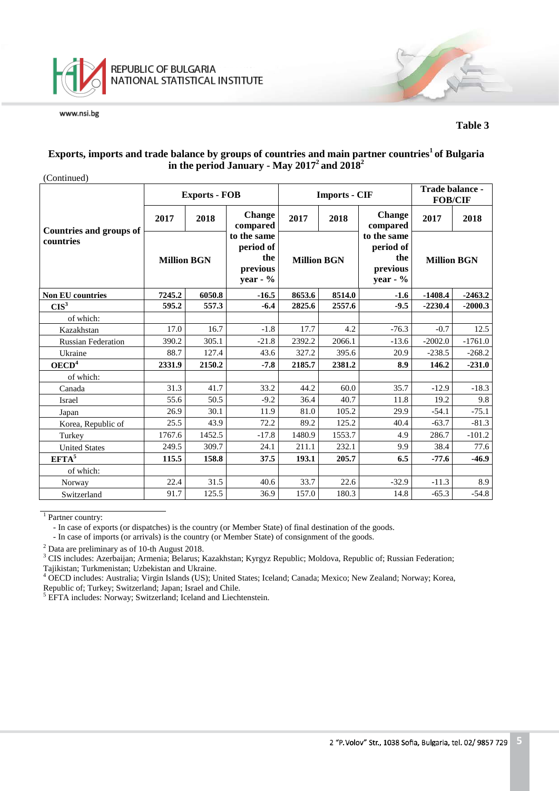

#### **Table 3**

## **Exports, imports and trade balance by groups of countries and main partner countries1 of Bulgaria in the period January - May 20172 and 20182**

(Continued)

|                                      |                    | <b>Exports - FOB</b> |                                                           |                    | <b>Imports - CIF</b> |                                                            | Trade balance -<br><b>FOB/CIF</b> |           |
|--------------------------------------|--------------------|----------------------|-----------------------------------------------------------|--------------------|----------------------|------------------------------------------------------------|-----------------------------------|-----------|
|                                      | 2017               | 2018                 | <b>Change</b><br>compared                                 | 2017               | 2018                 | <b>Change</b><br>compared                                  | 2017                              | 2018      |
| Countries and groups of<br>countries | <b>Million BGN</b> |                      | to the same<br>period of<br>the<br>previous<br>year - $%$ | <b>Million BGN</b> |                      | to the same<br>period of<br>the<br>previous<br>year - $\%$ | <b>Million BGN</b>                |           |
| <b>Non EU countries</b>              | 7245.2             | 6050.8               | $-16.5$                                                   | 8653.6             | 8514.0               | $-1.6$                                                     | $-1408.4$                         | $-2463.2$ |
| CIS <sup>3</sup>                     | 595.2              | 557.3                | $-6.4$                                                    | 2825.6             | 2557.6               | $-9.5$                                                     | $-2230.4$                         | $-2000.3$ |
| of which:                            |                    |                      |                                                           |                    |                      |                                                            |                                   |           |
| Kazakhstan                           | 17.0               | 16.7                 | $-1.8$                                                    | 17.7               | 4.2                  | $-76.3$                                                    | $-0.7$                            | 12.5      |
| <b>Russian Federation</b>            | 390.2              | 305.1                | $-21.8$                                                   | 2392.2             | 2066.1               | $-13.6$                                                    | $-2002.0$                         | $-1761.0$ |
| Ukraine                              | 88.7               | 127.4                | 43.6                                                      | 327.2              | 395.6                | 20.9                                                       | $-238.5$                          | $-268.2$  |
| OECD <sup>4</sup>                    | 2331.9             | 2150.2               | $-7.8$                                                    | 2185.7             | 2381.2               | 8.9                                                        | 146.2                             | $-231.0$  |
| of which:                            |                    |                      |                                                           |                    |                      |                                                            |                                   |           |
| Canada                               | 31.3               | 41.7                 | 33.2                                                      | 44.2               | 60.0                 | 35.7                                                       | $-12.9$                           | $-18.3$   |
| Israel                               | 55.6               | 50.5                 | $-9.2$                                                    | 36.4               | 40.7                 | 11.8                                                       | 19.2                              | 9.8       |
| Japan                                | 26.9               | 30.1                 | 11.9                                                      | 81.0               | 105.2                | 29.9                                                       | $-54.1$                           | $-75.1$   |
| Korea, Republic of                   | 25.5               | 43.9                 | 72.2                                                      | 89.2               | 125.2                | 40.4                                                       | $-63.7$                           | $-81.3$   |
| Turkey                               | 1767.6             | 1452.5               | $-17.8$                                                   | 1480.9             | 1553.7               | 4.9                                                        | 286.7                             | $-101.2$  |
| <b>United States</b>                 | 249.5              | 309.7                | 24.1                                                      | 211.1              | 232.1                | 9.9                                                        | 38.4                              | 77.6      |
| EFTA <sup>5</sup>                    | 115.5              | 158.8                | 37.5                                                      | 193.1              | 205.7                | 6.5                                                        | $-77.6$                           | $-46.9$   |
| of which:                            |                    |                      |                                                           |                    |                      |                                                            |                                   |           |
| Norway                               | 22.4               | 31.5                 | 40.6                                                      | 33.7               | 22.6                 | $-32.9$                                                    | $-11.3$                           | 8.9       |
| Switzerland                          | 91.7               | 125.5                | 36.9                                                      | 157.0              | 180.3                | 14.8                                                       | $-65.3$                           | $-54.8$   |

 $1$  Partner country:

- In case of exports (or dispatches) is the country (or Member State) of final destination of the goods.

- In case of imports (or arrivals) is the country (or Member State) of consignment of the goods.

<sup>2</sup> Data are preliminary as of 10-th August 2018.<br><sup>3</sup> CIS includes: Azerbaijan; Armenia; Belarus; Kazakhstan; Kyrgyz Republic; Moldova, Republic of; Russian Federation; Tajikistan; Turkmenistan; Uzbekistan and Ukraine.

<sup>4</sup> OECD includes: Australia; Virgin Islands (US); United States; Iceland; Canada; Mexico; New Zealand; Norway; Korea, Republic of; Turkey; Switzerland; Japan; Israel and Chile. <sup>5</sup> EFTA includes: Norway; Switzerland; Iceland and Liechtenstein.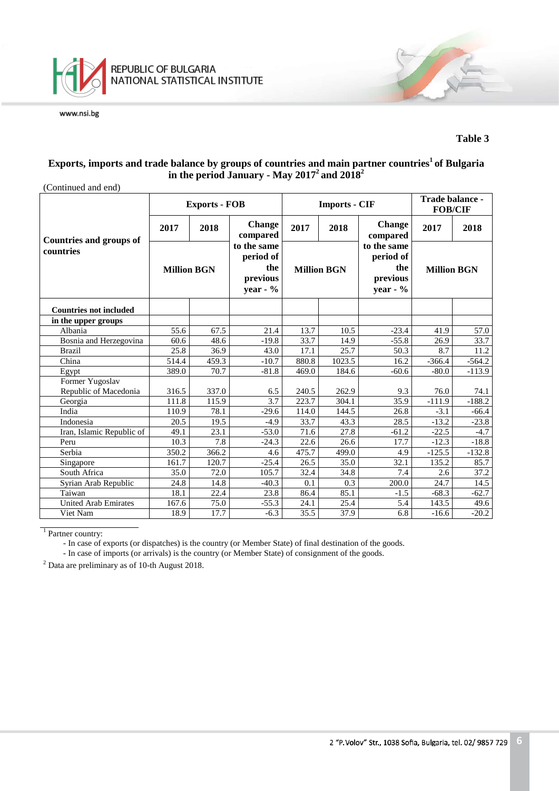

#### **Table 3**

### **Exports, imports and trade balance by groups of countries and main partner countries1 of Bulgaria in the period January - May 20172 and 20182**

| (Continued and end)                      |                    |                      |                                                            |                    |                      |                                                            |                                   |                   |  |  |
|------------------------------------------|--------------------|----------------------|------------------------------------------------------------|--------------------|----------------------|------------------------------------------------------------|-----------------------------------|-------------------|--|--|
|                                          |                    | <b>Exports - FOB</b> |                                                            |                    | <b>Imports - CIF</b> |                                                            | Trade balance -<br><b>FOB/CIF</b> |                   |  |  |
| <b>Countries and groups of</b>           | 2017               | 2018                 | <b>Change</b><br>compared                                  | 2017               | 2018                 | <b>Change</b><br>compared                                  | 2017                              | 2018              |  |  |
| countries                                | <b>Million BGN</b> |                      | to the same<br>period of<br>the<br>previous<br>year - $\%$ | <b>Million BGN</b> |                      | to the same<br>period of<br>the<br>previous<br>year - $\%$ | <b>Million BGN</b>                |                   |  |  |
| <b>Countries not included</b>            |                    |                      |                                                            |                    |                      |                                                            |                                   |                   |  |  |
| in the upper groups                      |                    |                      |                                                            |                    |                      |                                                            |                                   |                   |  |  |
| Albania                                  | 55.6               | 67.5                 | 21.4                                                       | 13.7               | 10.5                 | $-23.4$                                                    | 41.9                              | 57.0              |  |  |
| Bosnia and Herzegovina                   | 60.6               | 48.6                 | $-19.8$                                                    | 33.7               | 14.9                 | $-55.8$                                                    | 26.9                              | 33.7              |  |  |
| <b>Brazil</b>                            | 25.8               | 36.9                 | 43.0                                                       | 17.1               | 25.7                 | 50.3                                                       | 8.7                               | 11.2              |  |  |
| China                                    | 514.4              | 459.3                | $-10.7$                                                    | 880.8              | 1023.5               | 16.2                                                       | $-366.4$                          | $-564.2$          |  |  |
| Egypt                                    | 389.0              | 70.7                 | $-81.8$                                                    | 469.0              | 184.6                | $-60.6$                                                    | $-80.0$                           | $-113.9$          |  |  |
| Former Yugoslav<br>Republic of Macedonia | 316.5              | 337.0                | 6.5                                                        | 240.5              | 262.9                | 9.3                                                        | 76.0                              | 74.1              |  |  |
| Georgia                                  | 111.8              | 115.9                | 3.7                                                        | 223.7              | 304.1                | 35.9                                                       | $-111.9$                          | $-188.2$          |  |  |
| India                                    | 110.9              | 78.1                 | $-29.6$                                                    | 114.0              | 144.5                | 26.8                                                       | $-3.1$                            | $-66.4$           |  |  |
| Indonesia                                | 20.5               | 19.5                 | $-4.9$                                                     | 33.7               | 43.3                 | 28.5                                                       | $-13.2$                           | $-23.8$           |  |  |
| Iran, Islamic Republic of                | 49.1               | 23.1                 | $-53.0$                                                    | $\overline{71.6}$  | 27.8                 | $-61.2$                                                    | $-22.5$                           | $-4.7$            |  |  |
| Peru                                     | 10.3               | 7.8                  | $-24.3$                                                    | 22.6               | 26.6                 | 17.7                                                       | $-12.3$                           | $-18.8$           |  |  |
| Serbia                                   | 350.2              | 366.2                | 4.6                                                        | 475.7              | 499.0                | 4.9                                                        | $-125.5$                          | $-132.8$          |  |  |
| Singapore                                | 161.7              | 120.7                | $-25.4$                                                    | 26.5               | 35.0                 | 32.1                                                       | 135.2                             | 85.7              |  |  |
| South Africa                             | 35.0               | 72.0                 | 105.7                                                      | 32.4               | 34.8                 | 7.4                                                        | 2.6                               | $\overline{37.2}$ |  |  |
| Syrian Arab Republic                     | 24.8               | 14.8                 | $-40.3$                                                    | 0.1                | 0.3                  | 200.0                                                      | 24.7                              | 14.5              |  |  |
| Taiwan                                   | 18.1               | 22.4                 | 23.8                                                       | 86.4               | 85.1                 | $-1.5$                                                     | $-68.3$                           | $-62.7$           |  |  |
| United Arab Emirates                     | 167.6              | 75.0                 | $-55.3$                                                    | 24.1               | 25.4                 | 5.4                                                        | 143.5                             | 49.6              |  |  |
| Viet Nam                                 | 18.9               | 17.7                 | $-6.3$                                                     | 35.5               | 37.9                 | 6.8                                                        | $-16.6$                           | $-20.2$           |  |  |

<sup>1</sup> Partner country:

- In case of exports (or dispatches) is the country (or Member State) of final destination of the goods.

- In case of imports (or arrivals) is the country (or Member State) of consignment of the goods.

<sup>2</sup> Data are preliminary as of 10-th August 2018.